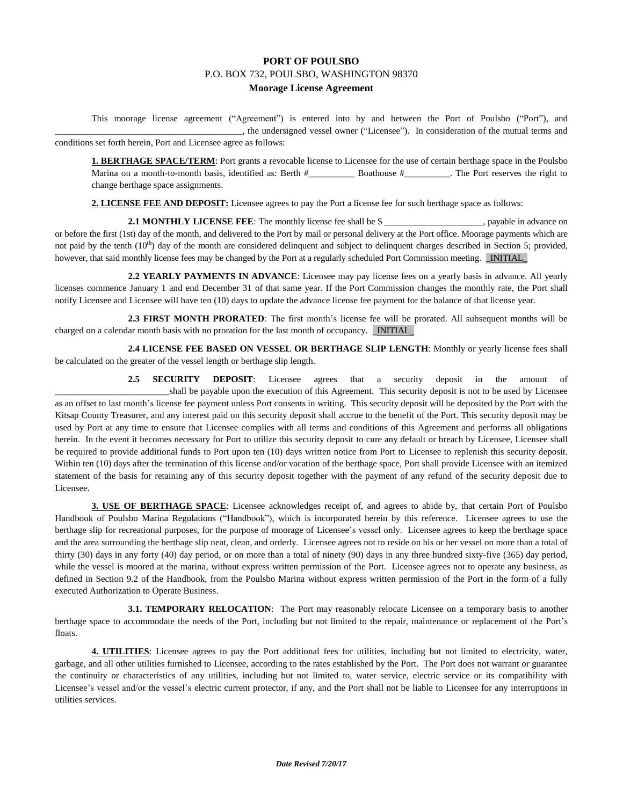## **PORT OF POULSBO** P.O. BOX 732, POULSBO, WASHINGTON 98370 **Moorage License Agreement**

This moorage license agreement ("Agreement") is entered into by and between the Port of Poulsbo ("Port"), and \_\_\_\_\_\_\_\_\_\_\_\_\_\_\_\_\_\_\_\_\_\_\_\_\_\_\_\_\_\_\_\_\_\_\_\_\_\_\_\_\_, the undersigned vessel owner ("Licensee"). In consideration of the mutual terms and conditions set forth herein, Port and Licensee agree as follows:

**1. BERTHAGE SPACE/TERM**: Port grants a revocable license to Licensee for the use of certain berthage space in the Poulsbo Marina on a month-to-month basis, identified as: Berth #\_\_\_\_\_\_\_\_\_\_\_\_\_\_\_\_Boathouse #\_\_\_\_\_\_\_\_\_\_. The Port reserves the right to change berthage space assignments.

**2. LICENSE FEE AND DEPOSIT:** Licensee agrees to pay the Port a license fee for such berthage space as follows:

**2.1 MONTHLY LICENSE FEE**: The monthly license fee shall be \$ or before the first (1st) day of the month, and delivered to the Port by mail or personal delivery at the Port office. Moorage payments which are not paid by the tenth  $(10<sup>th</sup>)$  day of the month are considered delinquent and subject to delinquent charges described in Section 5; provided, however, that said monthly license fees may be changed by the Port at a regularly scheduled Port Commission meeting. \_INITIAL\_

**2.2 YEARLY PAYMENTS IN ADVANCE**: Licensee may pay license fees on a yearly basis in advance. All yearly licenses commence January 1 and end December 31 of that same year. If the Port Commission changes the monthly rate, the Port shall notify Licensee and Licensee will have ten (10) days to update the advance license fee payment for the balance of that license year.

2.3 FIRST MONTH PRORATED: The first month's license fee will be prorated. All subsequent months will be charged on a calendar month basis with no proration for the last month of occupancy. \_INITIAL\_

**2.4 LICENSE FEE BASED ON VESSEL OR BERTHAGE SLIP LENGTH**: Monthly or yearly license fees shall be calculated on the greater of the vessel length or berthage slip length.

**2.5 SECURITY DEPOSIT**: Licensee agrees that a security deposit in the amount of \_\_\_\_\_\_\_\_\_\_\_\_\_\_\_\_\_\_\_\_\_\_\_\_\_shall be payable upon the execution of this Agreement. This security deposit is not to be used by Licensee as an offset to last month's license fee payment unless Port consents in writing. This security deposit will be deposited by the Port with the Kitsap County Treasurer, and any interest paid on this security deposit shall accrue to the benefit of the Port. This security deposit may be used by Port at any time to ensure that Licensee complies with all terms and conditions of this Agreement and performs all obligations herein. In the event it becomes necessary for Port to utilize this security deposit to cure any default or breach by Licensee, Licensee shall be required to provide additional funds to Port upon ten (10) days written notice from Port to Licensee to replenish this security deposit. Within ten (10) days after the termination of this license and/or vacation of the berthage space, Port shall provide Licensee with an itemized statement of the basis for retaining any of this security deposit together with the payment of any refund of the security deposit due to Licensee.

**3. USE OF BERTHAGE SPACE**: Licensee acknowledges receipt of, and agrees to abide by, that certain Port of Poulsbo Handbook of Poulsbo Marina Regulations ("Handbook"), which is incorporated herein by this reference. Licensee agrees to use the berthage slip for recreational purposes, for the purpose of moorage of Licensee's vessel only. Licensee agrees to keep the berthage space and the area surrounding the berthage slip neat, clean, and orderly. Licensee agrees not to reside on his or her vessel on more than a total of thirty (30) days in any forty (40) day period, or on more than a total of ninety (90) days in any three hundred sixty-five (365) day period, while the vessel is moored at the marina, without express written permission of the Port. Licensee agrees not to operate any business, as defined in Section 9.2 of the Handbook, from the Poulsbo Marina without express written permission of the Port in the form of a fully executed Authorization to Operate Business.

**3.1. TEMPORARY RELOCATION:** The Port may reasonably relocate Licensee on a temporary basis to another berthage space to accommodate the needs of the Port, including but not limited to the repair, maintenance or replacement of the Port's floats.

**4. UTILITIES**: Licensee agrees to pay the Port additional fees for utilities, including but not limited to electricity, water, garbage, and all other utilities furnished to Licensee, according to the rates established by the Port. The Port does not warrant or guarantee the continuity or characteristics of any utilities, including but not limited to, water service, electric service or its compatibility with Licensee's vessel and/or the vessel's electric current protector, if any, and the Port shall not be liable to Licensee for any interruptions in utilities services.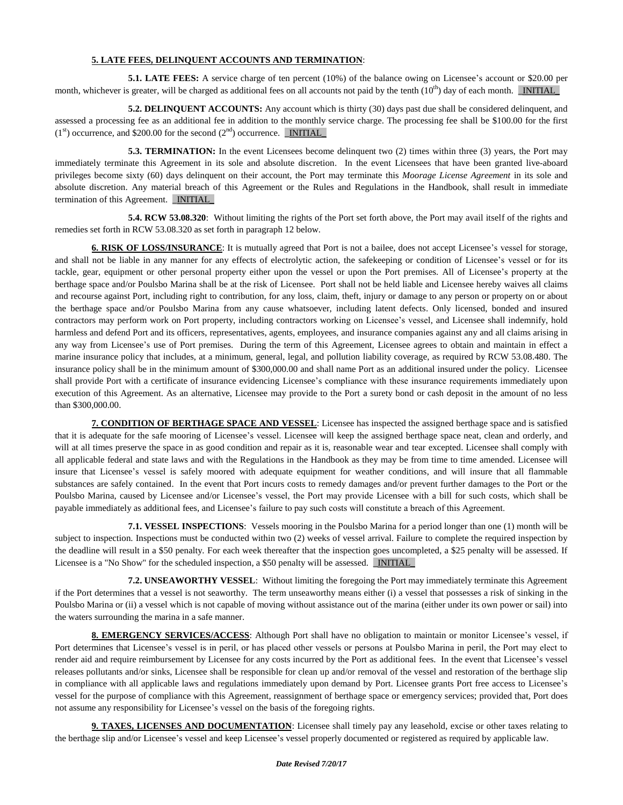## **5. LATE FEES, DELINQUENT ACCOUNTS AND TERMINATION**:

**5.1. LATE FEES:** A service charge of ten percent (10%) of the balance owing on Licensee's account or \$20.00 per month, whichever is greater, will be charged as additional fees on all accounts not paid by the tenth  $(10<sup>th</sup>)$  day of each month. **INITIAL** 

**5.2. DELINQUENT ACCOUNTS:** Any account which is thirty (30) days past due shall be considered delinquent, and assessed a processing fee as an additional fee in addition to the monthly service charge. The processing fee shall be \$100.00 for the first  $(1<sup>st</sup>)$  occurrence, and \$200.00 for the second  $(2<sup>nd</sup>)$  occurrence. **INITIAL** 

**5.3. TERMINATION:** In the event Licensees become delinquent two (2) times within three (3) years, the Port may immediately terminate this Agreement in its sole and absolute discretion. In the event Licensees that have been granted live-aboard privileges become sixty (60) days delinquent on their account, the Port may terminate this *Moorage License Agreement* in its sole and absolute discretion. Any material breach of this Agreement or the Rules and Regulations in the Handbook, shall result in immediate termination of this Agreement. **INITIAL** 

**5.4. RCW 53.08.320**: Without limiting the rights of the Port set forth above, the Port may avail itself of the rights and remedies set forth in RCW 53.08.320 as set forth in paragraph 12 below.

**6. RISK OF LOSS/INSURANCE**: It is mutually agreed that Port is not a bailee, does not accept Licensee's vessel for storage, and shall not be liable in any manner for any effects of electrolytic action, the safekeeping or condition of Licensee's vessel or for its tackle, gear, equipment or other personal property either upon the vessel or upon the Port premises. All of Licensee's property at the berthage space and/or Poulsbo Marina shall be at the risk of Licensee. Port shall not be held liable and Licensee hereby waives all claims and recourse against Port, including right to contribution, for any loss, claim, theft, injury or damage to any person or property on or about the berthage space and/or Poulsbo Marina from any cause whatsoever, including latent defects. Only licensed, bonded and insured contractors may perform work on Port property, including contractors working on Licensee's vessel, and Licensee shall indemnify, hold harmless and defend Port and its officers, representatives, agents, employees, and insurance companies against any and all claims arising in any way from Licensee's use of Port premises. During the term of this Agreement, Licensee agrees to obtain and maintain in effect a marine insurance policy that includes, at a minimum, general, legal, and pollution liability coverage, as required by RCW 53.08.480. The insurance policy shall be in the minimum amount of \$300,000.00 and shall name Port as an additional insured under the policy. Licensee shall provide Port with a certificate of insurance evidencing Licensee's compliance with these insurance requirements immediately upon execution of this Agreement. As an alternative, Licensee may provide to the Port a surety bond or cash deposit in the amount of no less than \$300,000.00.

**7. CONDITION OF BERTHAGE SPACE AND VESSEL**: Licensee has inspected the assigned berthage space and is satisfied that it is adequate for the safe mooring of Licensee's vessel. Licensee will keep the assigned berthage space neat, clean and orderly, and will at all times preserve the space in as good condition and repair as it is, reasonable wear and tear excepted. Licensee shall comply with all applicable federal and state laws and with the Regulations in the Handbook as they may be from time to time amended. Licensee will insure that Licensee's vessel is safely moored with adequate equipment for weather conditions, and will insure that all flammable substances are safely contained. In the event that Port incurs costs to remedy damages and/or prevent further damages to the Port or the Poulsbo Marina, caused by Licensee and/or Licensee's vessel, the Port may provide Licensee with a bill for such costs, which shall be payable immediately as additional fees, and Licensee's failure to pay such costs will constitute a breach of this Agreement.

**7.1. VESSEL INSPECTIONS**: Vessels mooring in the Poulsbo Marina for a period longer than one (1) month will be subject to inspection. Inspections must be conducted within two (2) weeks of vessel arrival. Failure to complete the required inspection by the deadline will result in a \$50 penalty. For each week thereafter that the inspection goes uncompleted, a \$25 penalty will be assessed. If Licensee is a "No Show" for the scheduled inspection, a \$50 penalty will be assessed. **INITIAL** 

**7.2. UNSEAWORTHY VESSEL**: Without limiting the foregoing the Port may immediately terminate this Agreement if the Port determines that a vessel is not seaworthy. The term unseaworthy means either (i) a vessel that possesses a risk of sinking in the Poulsbo Marina or (ii) a vessel which is not capable of moving without assistance out of the marina (either under its own power or sail) into the waters surrounding the marina in a safe manner.

**8. EMERGENCY SERVICES/ACCESS**: Although Port shall have no obligation to maintain or monitor Licensee's vessel, if Port determines that Licensee's vessel is in peril, or has placed other vessels or persons at Poulsbo Marina in peril, the Port may elect to render aid and require reimbursement by Licensee for any costs incurred by the Port as additional fees. In the event that Licensee's vessel releases pollutants and/or sinks, Licensee shall be responsible for clean up and/or removal of the vessel and restoration of the berthage slip in compliance with all applicable laws and regulations immediately upon demand by Port. Licensee grants Port free access to Licensee's vessel for the purpose of compliance with this Agreement, reassignment of berthage space or emergency services; provided that, Port does not assume any responsibility for Licensee's vessel on the basis of the foregoing rights.

**9. TAXES, LICENSES AND DOCUMENTATION**: Licensee shall timely pay any leasehold, excise or other taxes relating to the berthage slip and/or Licensee's vessel and keep Licensee's vessel properly documented or registered as required by applicable law.